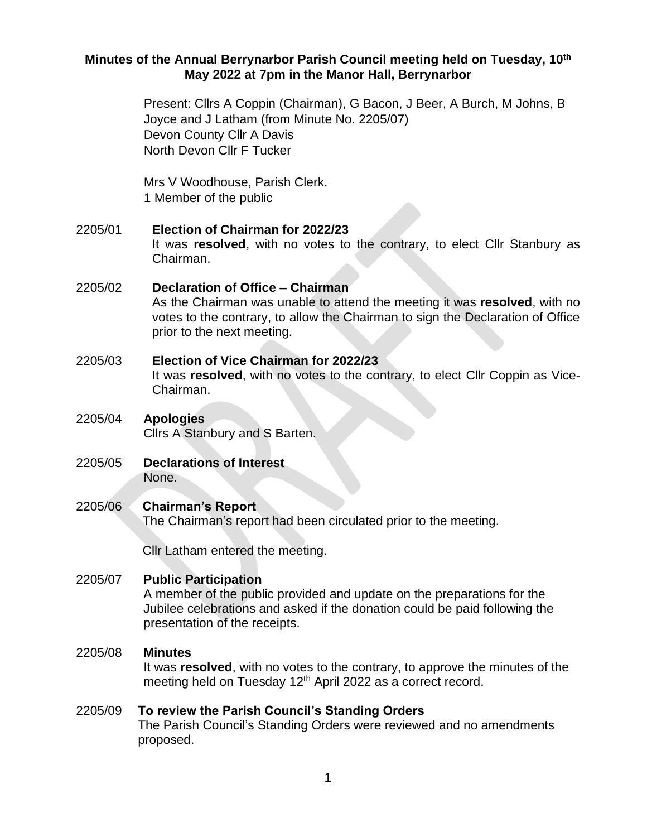## **Minutes of the Annual Berrynarbor Parish Council meeting held on Tuesday, 10th May 2022 at 7pm in the Manor Hall, Berrynarbor**

Present: Cllrs A Coppin (Chairman), G Bacon, J Beer, A Burch, M Johns, B Joyce and J Latham (from Minute No. 2205/07) Devon County Cllr A Davis North Devon Cllr F Tucker

Mrs V Woodhouse, Parish Clerk. 1 Member of the public

# 2205/01 **Election of Chairman for 2022/23** It was **resolved**, with no votes to the contrary, to elect Cllr Stanbury as Chairman.

# 2205/02 **Declaration of Office – Chairman**  As the Chairman was unable to attend the meeting it was **resolved**, with no votes to the contrary, to allow the Chairman to sign the Declaration of Office prior to the next meeting.

2205/03 **Election of Vice Chairman for 2022/23** It was **resolved**, with no votes to the contrary, to elect Cllr Coppin as Vice-Chairman.

# 2205/04 **Apologies**  Cllrs A Stanbury and S Barten.

2205/05 **Declarations of Interest**  None.

# 2205/06 **Chairman's Report**

The Chairman's report had been circulated prior to the meeting.

Cllr Latham entered the meeting.

# 2205/07 **Public Participation**

A member of the public provided and update on the preparations for the Jubilee celebrations and asked if the donation could be paid following the presentation of the receipts.

# 2205/08 **Minutes**

It was **resolved**, with no votes to the contrary, to approve the minutes of the meeting held on Tuesday 12<sup>th</sup> April 2022 as a correct record.

# 2205/09 **To review the Parish Council's Standing Orders** The Parish Council's Standing Orders were reviewed and no amendments proposed.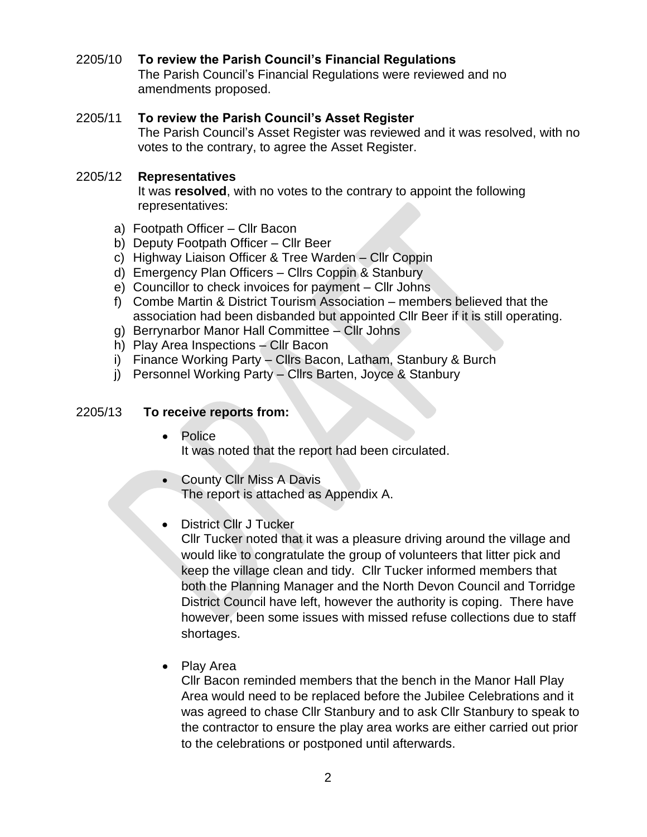# 2205/10 **To review the Parish Council's Financial Regulations**

The Parish Council's Financial Regulations were reviewed and no amendments proposed.

# 2205/11 **To review the Parish Council's Asset Register**

The Parish Council's Asset Register was reviewed and it was resolved, with no votes to the contrary, to agree the Asset Register.

## 2205/12 **Representatives**

It was **resolved**, with no votes to the contrary to appoint the following representatives:

- a) Footpath Officer Cllr Bacon
- b) Deputy Footpath Officer Cllr Beer
- c) Highway Liaison Officer & Tree Warden Cllr Coppin
- d) Emergency Plan Officers Cllrs Coppin & Stanbury
- e) Councillor to check invoices for payment Cllr Johns
- f) Combe Martin & District Tourism Association members believed that the association had been disbanded but appointed Cllr Beer if it is still operating.
- g) Berrynarbor Manor Hall Committee Cllr Johns
- h) Play Area Inspections Cllr Bacon
- i) Finance Working Party Cllrs Bacon, Latham, Stanbury & Burch
- j) Personnel Working Party Cllrs Barten, Joyce & Stanbury

## 2205/13 **To receive reports from:**

- Police It was noted that the report had been circulated.
- County Cllr Miss A Davis The report is attached as Appendix A.
- District Cllr J Tucker

Cllr Tucker noted that it was a pleasure driving around the village and would like to congratulate the group of volunteers that litter pick and keep the village clean and tidy. Cllr Tucker informed members that both the Planning Manager and the North Devon Council and Torridge District Council have left, however the authority is coping. There have however, been some issues with missed refuse collections due to staff shortages.

• Play Area

Cllr Bacon reminded members that the bench in the Manor Hall Play Area would need to be replaced before the Jubilee Celebrations and it was agreed to chase Cllr Stanbury and to ask Cllr Stanbury to speak to the contractor to ensure the play area works are either carried out prior to the celebrations or postponed until afterwards.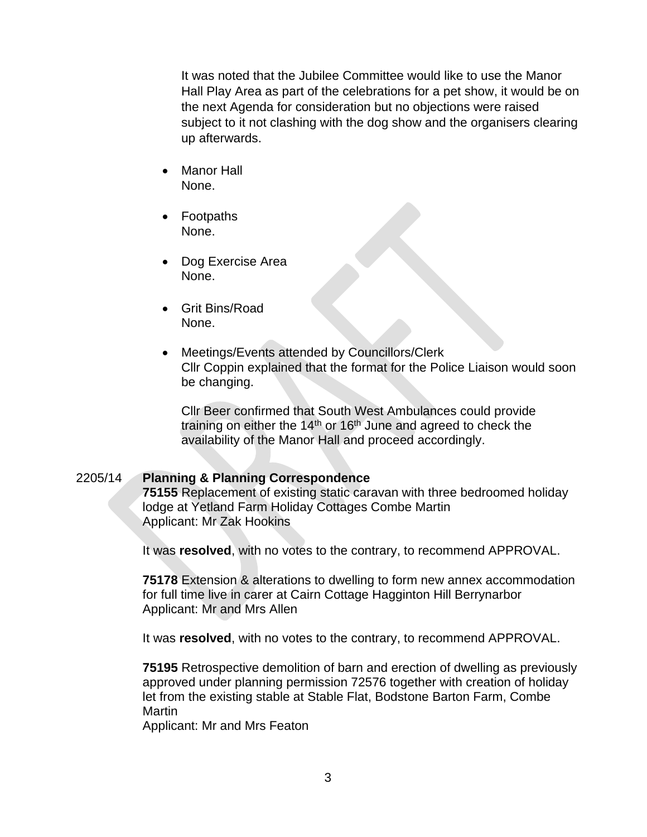It was noted that the Jubilee Committee would like to use the Manor Hall Play Area as part of the celebrations for a pet show, it would be on the next Agenda for consideration but no objections were raised subject to it not clashing with the dog show and the organisers clearing up afterwards.

- Manor Hall None.
- Footpaths None.
- Dog Exercise Area None.
- Grit Bins/Road None.
- Meetings/Events attended by Councillors/Clerk Cllr Coppin explained that the format for the Police Liaison would soon be changing.

Cllr Beer confirmed that South West Ambulances could provide training on either the  $14<sup>th</sup>$  or  $16<sup>th</sup>$  June and agreed to check the availability of the Manor Hall and proceed accordingly.

# 2205/14 **Planning & Planning Correspondence**

**75155** Replacement of existing static caravan with three bedroomed holiday lodge at Yetland Farm Holiday Cottages Combe Martin Applicant: Mr Zak Hookins

It was **resolved**, with no votes to the contrary, to recommend APPROVAL.

**75178** Extension & alterations to dwelling to form new annex accommodation for full time live in carer at Cairn Cottage Hagginton Hill Berrynarbor Applicant: Mr and Mrs Allen

It was **resolved**, with no votes to the contrary, to recommend APPROVAL.

**75195** Retrospective demolition of barn and erection of dwelling as previously approved under planning permission 72576 together with creation of holiday let from the existing stable at Stable Flat, Bodstone Barton Farm, Combe Martin

Applicant: Mr and Mrs Featon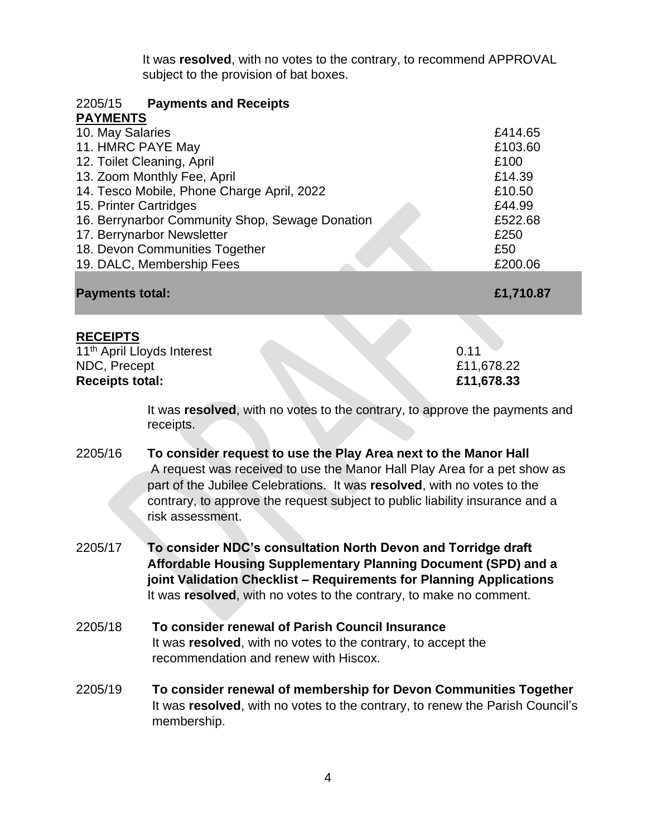It was **resolved**, with no votes to the contrary, to recommend APPROVAL subject to the provision of bat boxes.

| <b>Payments and Receipts</b><br>2205/15                                             |            |
|-------------------------------------------------------------------------------------|------------|
| <b>PAYMENTS</b>                                                                     |            |
| 10. May Salaries                                                                    | £414.65    |
| 11. HMRC PAYE May                                                                   | £103.60    |
| 12. Toilet Cleaning, April                                                          | £100       |
| 13. Zoom Monthly Fee, April                                                         | £14.39     |
| 14. Tesco Mobile, Phone Charge April, 2022                                          | £10.50     |
| 15. Printer Cartridges                                                              | £44.99     |
| 16. Berrynarbor Community Shop, Sewage Donation                                     | £522.68    |
| 17. Berrynarbor Newsletter                                                          | £250       |
| 18. Devon Communities Together                                                      | £50        |
| 19. DALC, Membership Fees                                                           | £200.06    |
| <b>Payments total:</b>                                                              | £1,710.87  |
| <b>RECEIPTS</b>                                                                     |            |
| 11 <sup>th</sup> April Lloyds Interest                                              | 0.11       |
| NDC, Precept                                                                        | £11,678.22 |
| <b>Receipts total:</b>                                                              | £11,678.33 |
| It was <b>resolved</b> , with no votes to the contrary, to approve the payments and |            |

It was approved the payments and receipts.

- 2205/16 **To consider request to use the Play Area next to the Manor Hall** A request was received to use the Manor Hall Play Area for a pet show as part of the Jubilee Celebrations. It was **resolved**, with no votes to the contrary, to approve the request subject to public liability insurance and a risk assessment.
- 2205/17 **To consider NDC's consultation North Devon and Torridge draft Affordable Housing Supplementary Planning Document (SPD) and a joint Validation Checklist – Requirements for Planning Applications**  It was **resolved**, with no votes to the contrary, to make no comment.
- 2205/18 **To consider renewal of Parish Council Insurance**  It was **resolved**, with no votes to the contrary, to accept the recommendation and renew with Hiscox.
- 2205/19 **To consider renewal of membership for Devon Communities Together**  It was **resolved**, with no votes to the contrary, to renew the Parish Council's membership.